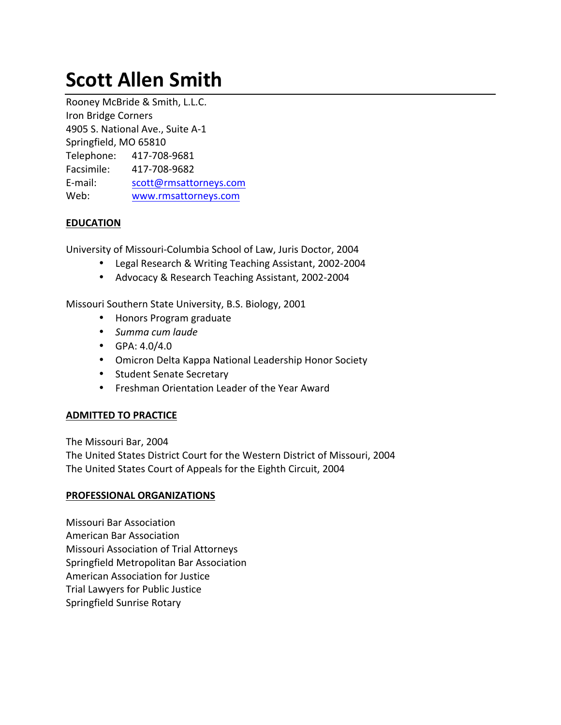# **Scott Allen Smith**

Rooney McBride & Smith, L.L.C. Iron Bridge Corners 4905 S. National Ave., Suite A-1 Springfield, MO 65810 Telephone: 417-708-9681 Facsimile: 417-708-9682 E-mail: scott@rmsattorneys.com Web: www.rmsattorneys.com

## **EDUCATION**

University of Missouri-Columbia School of Law, Juris Doctor, 2004

- Legal Research & Writing Teaching Assistant, 2002-2004
- Advocacy & Research Teaching Assistant, 2002-2004

Missouri Southern State University, B.S. Biology, 2001

- Honors Program graduate
- Summa cum laude
- GPA:  $4.0/4.0$
- Omicron Delta Kappa National Leadership Honor Society
- Student Senate Secretary
- Freshman Orientation Leader of the Year Award

# **ADMITTED TO PRACTICE**

The Missouri Bar, 2004 The United States District Court for the Western District of Missouri, 2004 The United States Court of Appeals for the Eighth Circuit, 2004

#### **PROFESSIONAL ORGANIZATIONS**

Missouri Bar Association American Bar Association Missouri Association of Trial Attorneys Springfield Metropolitan Bar Association American Association for Justice Trial Lawyers for Public Justice Springfield Sunrise Rotary